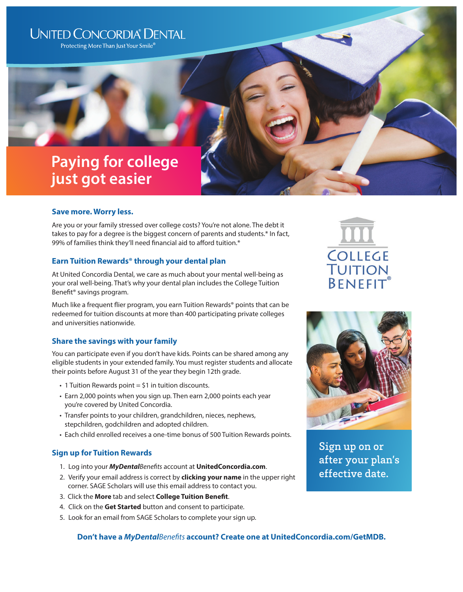## **UNITED CONCORDIA® DENTAL**

Protecting More Than Just Your Smile®

# **Paying for college just got easier**

### **Save more. Worry less.**

Are you or your family stressed over college costs? You're not alone. The debt it takes to pay for a degree is the biggest concern of parents and students.\* In fact, 99% of families think they'll need financial aid to afford tuition.\*

## **Earn Tuition Rewards® through your dental plan**

At United Concordia Dental, we care as much about your mental well-being as your oral well-being. That's why your dental plan includes the College Tuition Benefit® savings program.

Much like a frequent flier program, you earn Tuition Rewards® points that can be redeemed for tuition discounts at more than 400 participating private colleges and universities nationwide.

## **Share the savings with your family**

You can participate even if you don't have kids. Points can be shared among any eligible students in your extended family. You must register students and allocate their points before August 31 of the year they begin 12th grade.

- $\cdot$  1 Tuition Rewards point = \$1 in tuition discounts.
- Earn 2,000 points when you sign up. Then earn 2,000 points each year you're covered by United Concordia.
- Transfer points to your children, grandchildren, nieces, nephews, stepchildren, godchildren and adopted children.
- Each child enrolled receives a one-time bonus of 500 Tuition Rewards points.

## **Sign up for Tuition Rewards**

- 1. Log into your *MyDentalBenefits* account at **UnitedConcordia.com**.
- 2. Verify your email address is correct by **clicking your name** in the upper right corner. SAGE Scholars will use this email address to contact you.
- 3. Click the **More** tab and select **College Tuition Benefit**.
- 4. Click on the **Get Started** button and consent to participate.
- 5. Look for an email from SAGE Scholars to complete your sign up.

## **Don't have a** *MyDentalBenefits* **account? Create one at UnitedConcordia.com/GetMDB.**





Sign up on or after your plan's effective date.